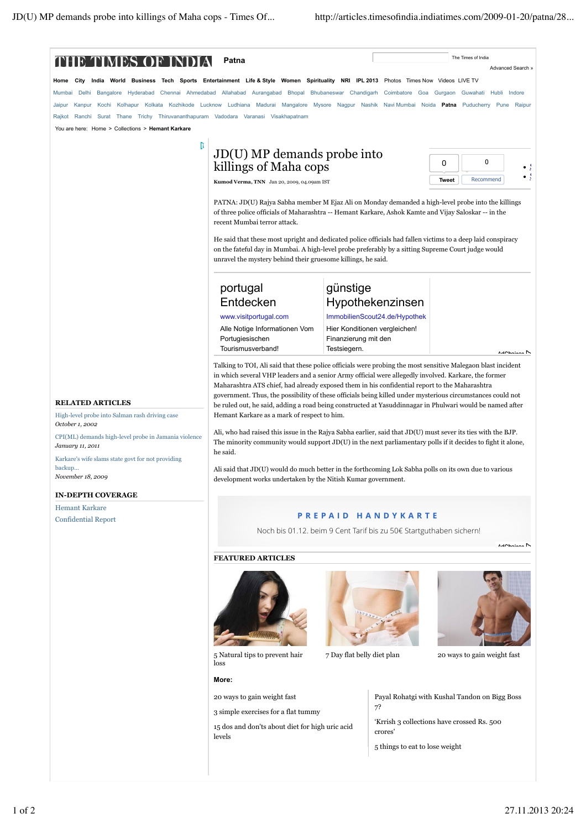